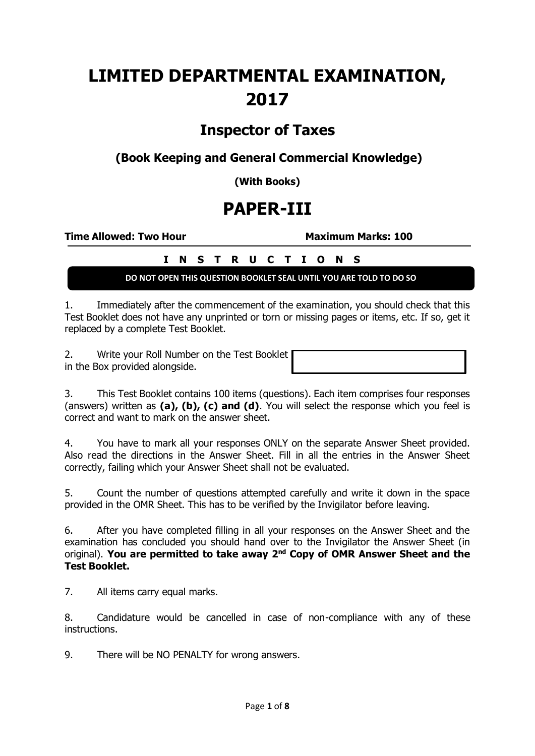# **LIMITED DEPARTMENTAL EXAMINATION, 2017**

## **Inspector of Taxes**

**(Book Keeping and General Commercial Knowledge)**

**(With Books)**

## **PAPER-III**

**Time Allowed: Two Hour Maximum Marks: 100**

### **I N S T R U C T I O N S**

**DO NOT OPEN THIS QUESTION BOOKLET SEAL UNTIL YOU ARE TOLD TO DO SO**

1. Immediately after the commencement of the examination, you should check that this Test Booklet does not have any unprinted or torn or missing pages or items, etc. If so, get it replaced by a complete Test Booklet.

2. Write your Roll Number on the Test Booklet in the Box provided alongside.

3. This Test Booklet contains 100 items (questions). Each item comprises four responses (answers) written as **(a), (b), (c) and (d)**. You will select the response which you feel is correct and want to mark on the answer sheet.

4. You have to mark all your responses ONLY on the separate Answer Sheet provided. Also read the directions in the Answer Sheet. Fill in all the entries in the Answer Sheet correctly, failing which your Answer Sheet shall not be evaluated.

5. Count the number of questions attempted carefully and write it down in the space provided in the OMR Sheet. This has to be verified by the Invigilator before leaving.

6. After you have completed filling in all your responses on the Answer Sheet and the examination has concluded you should hand over to the Invigilator the Answer Sheet (in original). **You are permitted to take away 2nd Copy of OMR Answer Sheet and the Test Booklet.**

7. All items carry equal marks.

8. Candidature would be cancelled in case of non-compliance with any of these instructions.

9. There will be NO PENALTY for wrong answers.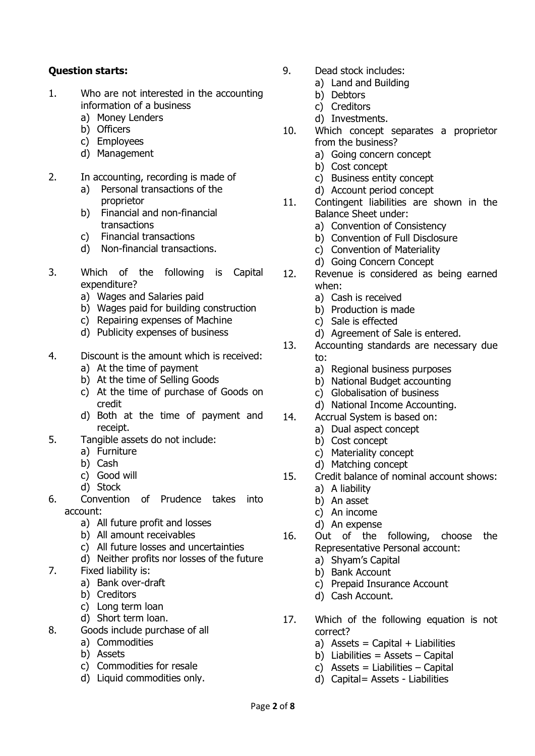#### **Question starts:**

- 1. Who are not interested in the accounting information of a business
	- a) Money Lenders
	- b) Officers
	- c) Employees
	- d) Management
- 2. In accounting, recording is made of
	- a) Personal transactions of the proprietor
	- b) Financial and non-financial transactions
	- c) Financial transactions
	- d) Non-financial transactions.
- 3. Which of the following is Capital expenditure?
	- a) Wages and Salaries paid
	- b) Wages paid for building construction
	- c) Repairing expenses of Machine
	- d) Publicity expenses of business
- 4. Discount is the amount which is received:
	- a) At the time of payment
	- b) At the time of Selling Goods
	- c) At the time of purchase of Goods on credit
	- d) Both at the time of payment and receipt.
- 5. Tangible assets do not include:
	- a) Furniture
	- b) Cash
	- c) Good will
	- d) Stock
- 6. Convention of Prudence takes into account:
	- a) All future profit and losses
	- b) All amount receivables
	- c) All future losses and uncertainties
	- d) Neither profits nor losses of the future
- 7. Fixed liability is:
	- a) Bank over-draft
	- b) Creditors
	- c) Long term loan
	- d) Short term loan.
- 8. Goods include purchase of all
	- a) Commodities
		- b) Assets
		- c) Commodities for resale
		- d) Liquid commodities only.
- 9. Dead stock includes:
	- a) Land and Building
		- b) Debtors
	- c) Creditors
	- d) Investments.
- 10. Which concept separates a proprietor from the business?
	- a) Going concern concept
	- b) Cost concept
	- c) Business entity concept
	- d) Account period concept
- 11. Contingent liabilities are shown in the Balance Sheet under:
	- a) Convention of Consistency
	- b) Convention of Full Disclosure
	- c) Convention of Materiality
	- d) Going Concern Concept
- 12. Revenue is considered as being earned when:
	- a) Cash is received
	- b) Production is made
	- c) Sale is effected
	- d) Agreement of Sale is entered.
- 13. Accounting standards are necessary due to:
	- a) Regional business purposes
	- b) National Budget accounting
	- c) Globalisation of business
	- d) National Income Accounting.
- 14. Accrual System is based on:
	- a) Dual aspect concept
	- b) Cost concept
	- c) Materiality concept
	- d) Matching concept
- 15. Credit balance of nominal account shows:
	- a) A liability
	- b) An asset
	- c) An income
	- d) An expense
- 16. Out of the following, choose the Representative Personal account:
	- a) Shyam's Capital
	- b) Bank Account
	- c) Prepaid Insurance Account
	- d) Cash Account.
- 17. Which of the following equation is not correct?
	- a) Assets = Capital + Liabilities
	- b) Liabilities =  $\text{Assets}$  Capital
	- c) Assets = Liabilities  $-$  Capital
	- d) Capital= Assets Liabilities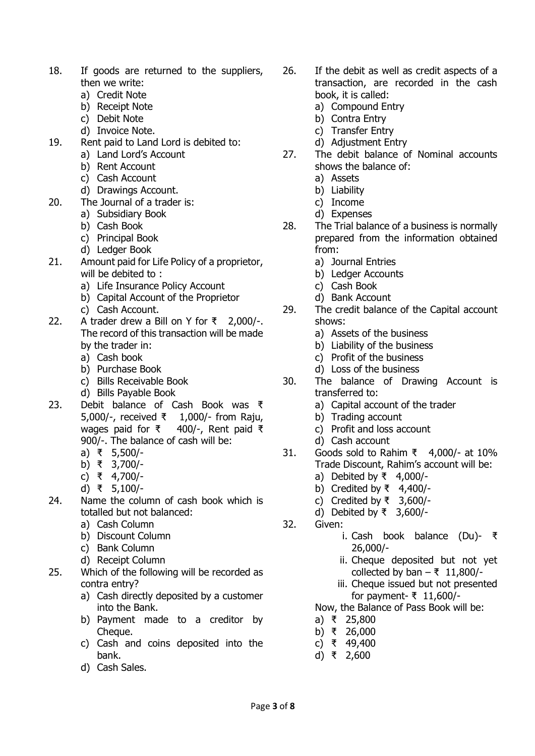- 18. If goods are returned to the suppliers, then we write:
	- a) Credit Note
	- b) Receipt Note
	- c) Debit Note
	- d) Invoice Note.
- 19. Rent paid to Land Lord is debited to:
	- a) Land Lord's Account
	- b) Rent Account
	- c) Cash Account
	- d) Drawings Account.
- 20. The Journal of a trader is:
	- a) Subsidiary Book
	- b) Cash Book
	- c) Principal Book
	- d) Ledger Book
- 21. Amount paid for Life Policy of a proprietor, will be debited to:
	- a) Life Insurance Policy Account
	- b) Capital Account of the Proprietor
	- c) Cash Account.
- 22. A trader drew a Bill on Y for ₹ 2,000/-. The record of this transaction will be made by the trader in:
	- a) Cash book
	- b) Purchase Book
	- c) Bills Receivable Book
	- d) Bills Payable Book
- 23. Debit balance of Cash Book was ₹ 5,000/-, received ₹ 1,000/- from Raju, wages paid for ₹ 400/-, Rent paid ₹ 900/-. The balance of cash will be:
	- a) ₹ 5,500/-
	- b) ₹ 3,700/-
	- c) ₹ 4,700/-
	- d) ₹ 5,100/-
- 24. Name the column of cash book which is totalled but not balanced:
	- a) Cash Column
	- b) Discount Column
	- c) Bank Column
	- d) Receipt Column
- 25. Which of the following will be recorded as contra entry?
	- a) Cash directly deposited by a customer into the Bank.
	- b) Payment made to a creditor by Cheaue.
	- c) Cash and coins deposited into the bank.
	- d) Cash Sales.
- 26. If the debit as well as credit aspects of a transaction, are recorded in the cash book, it is called:
	- a) Compound Entry
	- b) Contra Entry
	- c) Transfer Entry
	- d) Adjustment Entry
- 27. The debit balance of Nominal accounts shows the balance of:
	- a) Assets
	- b) Liability
	- c) Income
	- d) Expenses
- 28. The Trial balance of a business is normally prepared from the information obtained from:
	- a) Journal Entries
	- b) Ledger Accounts
	- c) Cash Book
	- d) Bank Account
- 29. The credit balance of the Capital account shows:
	- a) Assets of the business
	- b) Liability of the business
	- c) Profit of the business
	- d) Loss of the business
- 30. The balance of Drawing Account is transferred to:
	- a) Capital account of the trader
	- b) Trading account
	- c) Profit and loss account
	- d) Cash account
- 31. Goods sold to Rahim ₹ 4,000/- at 10% Trade Discount, Rahim's account will be:
	- a) Debited by ₹  $4,000/-$
	- b) Credited by ₹ 4,400/-
	- c) Credited by ₹ 3,600/-
	- d) Debited by ₹ 3,600/-
- 32. Given:
	- i. Cash book balance (Du)- ₹ 26,000/-
	- ii. Cheque deposited but not yet collected by ban  $-$  ₹ 11,800/-
	- iii. Cheque issued but not presented for payment- ₹ 11,600/-

Now, the Balance of Pass Book will be:

- a) ₹ 25,800
- b) ₹ 26,000
- c) ₹ 49,400
- d) ₹ 2,600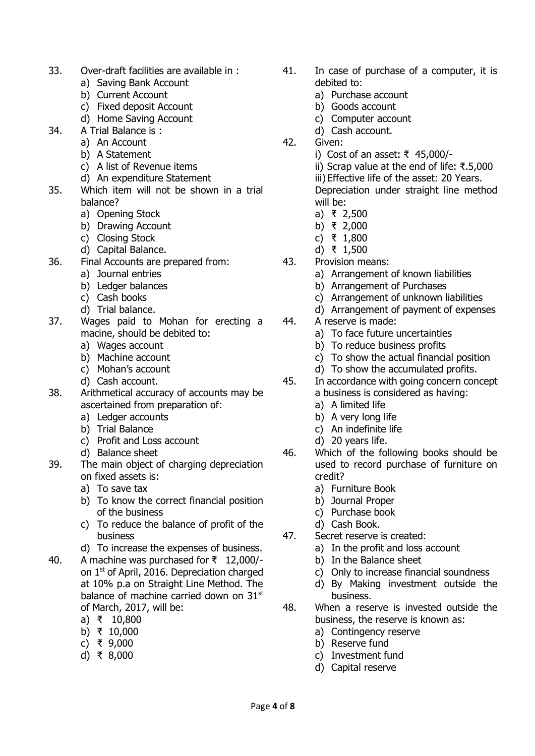- 33. Over-draft facilities are available in :
	- a) Saving Bank Account
	- b) Current Account
	- c) Fixed deposit Account
	- d) Home Saving Account
- 34. A Trial Balance is :
	- a) An Account
	- b) A Statement
	- c) A list of Revenue items
	- d) An expenditure Statement
- 35. Which item will not be shown in a trial balance?
	- a) Opening Stock
	- b) Drawing Account
	- c) Closing Stock
	- d) Capital Balance.
- 36. Final Accounts are prepared from:
	- a) Journal entries
	- b) Ledger balances
	- c) Cash books
	- d) Trial balance.
- 37. Wages paid to Mohan for erecting a macine, should be debited to:
	- a) Wages account
	- b) Machine account
	- c) Mohan's account
	- d) Cash account.
- 38. Arithmetical accuracy of accounts may be ascertained from preparation of:
	- a) Ledger accounts
	- b) Trial Balance
	- c) Profit and Loss account
	- d) Balance sheet
- 39. The main object of charging depreciation on fixed assets is:
	- a) To save tax
	- b) To know the correct financial position of the business
	- c) To reduce the balance of profit of the business
	- d) To increase the expenses of business.
- 40. A machine was purchased for ₹ 12,000/ on 1st of April, 2016. Depreciation charged at 10% p.a on Straight Line Method. The balance of machine carried down on 31<sup>st</sup> of March, 2017, will be:
	- a) ₹ 10,800
	- b) ₹ 10,000
	- c) ₹ 9,000
	- d) ₹ 8,000
- 41. In case of purchase of a computer, it is debited to:
	- a) Purchase account
	- b) Goods account
	- c) Computer account
	- d) Cash account.
- 42. Given:
	- i) Cost of an asset: ₹ 45,000/-
	- ii) Scrap value at the end of life: ₹.5,000 iii) Effective life of the asset: 20 Years. Depreciation under straight line method
	- will be: a) ₹ 2,500
	- b) ₹ 2,000
	- c) ₹ 1,800
	- d) ₹ 1,500
- 43. Provision means:
	- a) Arrangement of known liabilities
	- b) Arrangement of Purchases
	- c) Arrangement of unknown liabilities
	- d) Arrangement of payment of expenses
- 44. A reserve is made:
	- a) To face future uncertainties
	- b) To reduce business profits
	- c) To show the actual financial position
	- d) To show the accumulated profits.
- 45. In accordance with going concern concept a business is considered as having:
	- a) A limited life
	- b) A very long life
	- c) An indefinite life
	- d) 20 years life.
- 46. Which of the following books should be used to record purchase of furniture on credit?
	- a) Furniture Book
	- b) Journal Proper
	- c) Purchase book
	- d) Cash Book.
- 47. Secret reserve is created:
	- a) In the profit and loss account
	- b) In the Balance sheet
	- c) Only to increase financial soundness
	- d) By Making investment outside the business.
- 48. When a reserve is invested outside the business, the reserve is known as:
	- a) Contingency reserve
	- b) Reserve fund
	- c) Investment fund
	- d) Capital reserve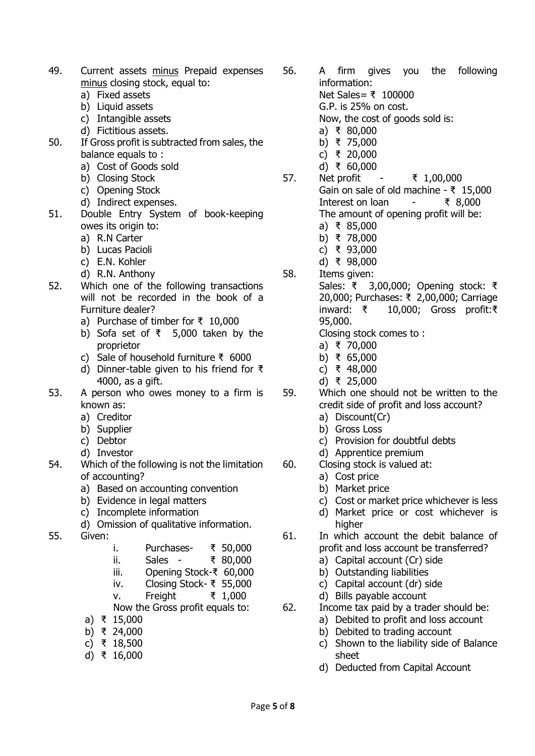- 49. Current assets minus Prepaid expenses minus closing stock, equal to:
	- a) Fixed assets
	- b) Liquid assets
	- c) Intangible assets
	- d) Fictitious assets.
- 50. If Gross profit is subtracted from sales, the balance equals to :
	- a) Cost of Goods sold
	- b) Closing Stock
	- c) Opening Stock
	- d) Indirect expenses.
- 51. Double Entry System of book-keeping owes its origin to:
	- a) R.N Carter
	- b) Lucas Pacioli
	- c) E.N. Kohler
	- d) R.N. Anthony
- 52. Which one of the following transactions will not be recorded in the book of a Furniture dealer?
	- a) Purchase of timber for ₹ 10,000
	- b) Sofa set of ₹ 5,000 taken by the proprietor
	- c) Sale of household furniture ₹ 6000
	- d) Dinner-table given to his friend for ₹ 4000, as a gift.
- 53. A person who owes money to a firm is known as:
	- a) Creditor
	- b) Supplier
	- c) Debtor
	- d) Investor
- 54. Which of the following is not the limitation of accounting?
	- a) Based on accounting convention
	- b) Evidence in legal matters
	- c) Incomplete information
	- d) Omission of qualitative information.
- 55. Given:
- i. Purchases- ₹ 50,000
- ii. Sales ₹ 80,000
- iii. Opening Stock-₹ 60,000
- iv. Closing Stock- ₹ 55,000
- v. Freight ₹ 1,000
- Now the Gross profit equals to:
- a) ₹ 15,000
- b) ₹ 24,000
- c) ₹ 18,500
- d) ₹ 16,000

56. A firm gives you the following information: Net Sales= ₹ 100000 G.P. is 25% on cost.

Now, the cost of goods sold is:

- a) ₹ 80,000
- b) ₹ 75,000
- c) ₹ 20,000
- d) ₹ 60,000
- 57. Net profit ₹ 1,00,000 Gain on sale of old machine -  $\bar{x}$  15,000 Interest on loan - ₹ 8,000 The amount of opening profit will be:
	- a) ₹ 85,000
	- b) ₹ 78,000
	- c) ₹ 93,000
	- d) ₹ 98,000
- 58. Items given:
	- Sales: ₹ 3,00,000; Opening stock: ₹ 20,000; Purchases: ₹ 2,00,000; Carriage inward: ₹ 10,000; Gross profit:₹ 95,000.
		- Closing stock comes to :
		- a) ₹ 70,000
		- b) ₹ 65,000
		- c) ₹ 48,000
		- d) ₹ 25,000
- 59. Which one should not be written to the credit side of profit and loss account?
	- a) Discount(Cr)
	- b) Gross Loss
	- c) Provision for doubtful debts
	- d) Apprentice premium
- 60. Closing stock is valued at:
	- a) Cost price
	- b) Market price
	- c) Cost or market price whichever is less
	- d) Market price or cost whichever is higher
- 61. In which account the debit balance of profit and loss account be transferred?
	- a) Capital account (Cr) side
	- b) Outstanding liabilities
	- c) Capital account (dr) side
	- d) Bills payable account
- 62. Income tax paid by a trader should be:
	- a) Debited to profit and loss account
	- b) Debited to trading account
	- c) Shown to the liability side of Balance sheet
	- d) Deducted from Capital Account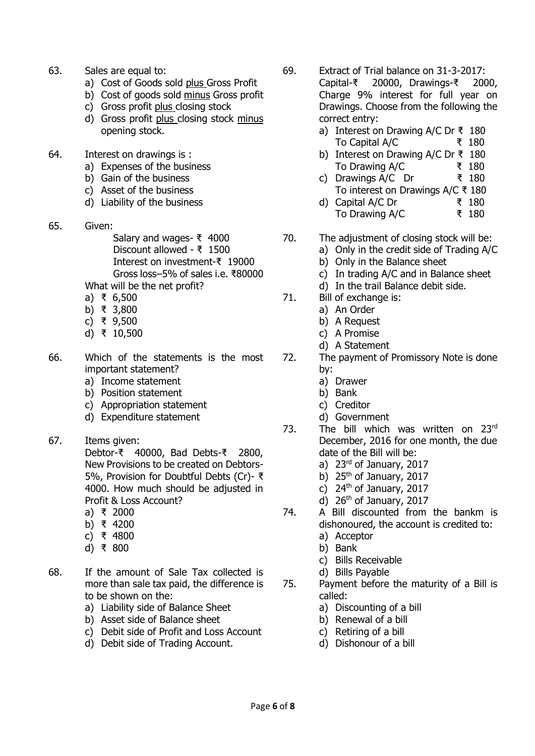- 63. Sales are equal to:
	- a) Cost of Goods sold plus Gross Profit
	- b) Cost of goods sold minus Gross profit
	- c) Gross profit plus closing stock
	- d) Gross profit plus closing stock minus opening stock.
- 64. Interest on drawings is :
	- a) Expenses of the business
	- b) Gain of the business
	- c) Asset of the business
	- d) Liability of the business
- 65. Given:
	- Salary and wages- ₹ 4000 Discount allowed - ₹ 1500 Interest on investment-₹ 19000 Gross loss–5% of sales i.e. ₹80000 What will be the net profit?
	- a) ₹ 6,500
	- b) ₹ 3,800
	- c) ₹ 9,500
	- d) ₹ 10,500
- 66. Which of the statements is the most important statement?
	- a) Income statement
	- b) Position statement
	- c) Appropriation statement
	- d) Expenditure statement
- 67. Items given: Debtor-₹ 40000, Bad Debts-₹ 2800, New Provisions to be created on Debtors-5%, Provision for Doubtful Debts (Cr)- ₹ 4000. How much should be adjusted in Profit & Loss Account?
	- a) ₹ 2000
	- b) ₹ 4200
	- c) ₹ 4800
	- d) ₹ 800
- 68. If the amount of Sale Tax collected is more than sale tax paid, the difference is to be shown on the:
	- a) Liability side of Balance Sheet
	- b) Asset side of Balance sheet
	- c) Debit side of Profit and Loss Account
	- d) Debit side of Trading Account.
- 69. Extract of Trial balance on 31-3-2017: Capital-₹ 20000, Drawings-₹ 2000, Charge 9% interest for full year on Drawings. Choose from the following the correct entry:
	- a) Interest on Drawing A/C Dr ₹ 180 To Capital A/C ₹ 180
	- b) Interest on Drawing A/C Dr ₹ 180 To Drawing A/C ₹ 180
	- c) Drawings A/C Dr ₹ 180
	- To interest on Drawings A/C ₹ 180 d) Capital A/C Dr  $\bar{x}$  180
	- To Drawing A/C ₹ 180
- 70. The adjustment of closing stock will be:
	- a) Only in the credit side of Trading A/C
		- b) Only in the Balance sheet
		- c) In trading A/C and in Balance sheet
		- d) In the trail Balance debit side.
- 71. Bill of exchange is:
	- a) An Order
		- b) A Request
		- c) A Promise
		- d) A Statement
- 72. The payment of Promissory Note is done by:
	- a) Drawer
	- b) Bank
	- c) Creditor
	- d) Government
- 73. The bill which was written on 23rd December, 2016 for one month, the due date of the Bill will be:
	- a) 23rd of January, 2017
	- b)  $25<sup>th</sup>$  of January, 2017
	- c) 24<sup>th</sup> of January, 2017
	- d)  $26<sup>th</sup>$  of January, 2017
- 74. A Bill discounted from the bankm is dishonoured, the account is credited to:
	- a) Acceptor
	- b) Bank
	- c) Bills Receivable
	- d) Bills Payable
- 75. Payment before the maturity of a Bill is called:
	- a) Discounting of a bill
	- b) Renewal of a bill
	- c) Retiring of a bill
	- d) Dishonour of a bill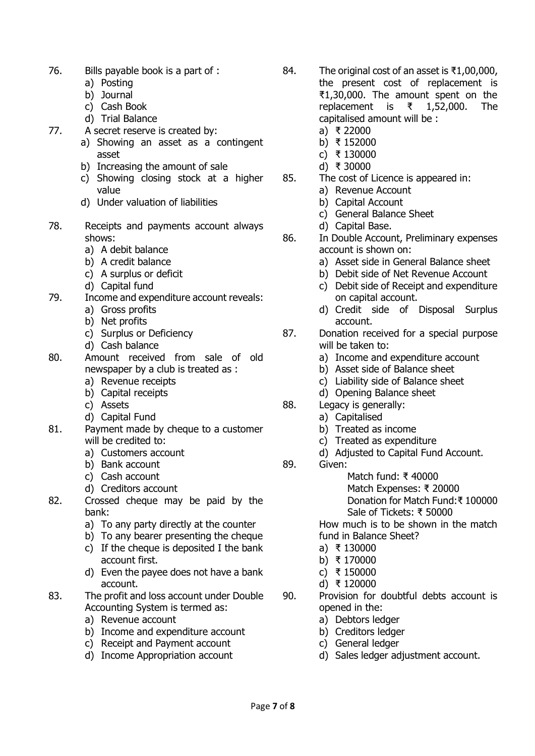- 76. Bills payable book is a part of :
	- a) Posting
	- b) Journal
	- c) Cash Book
	- d) Trial Balance
- 77. A secret reserve is created by:
	- a) Showing an asset as a contingent asset
	- b) Increasing the amount of sale
	- c) Showing closing stock at a higher value
	- d) Under valuation of liabilities
- 78. Receipts and payments account always shows:
	- a) A debit balance
	- b) A credit balance
	- c) A surplus or deficit
	- d) Capital fund
- 79. Income and expenditure account reveals:
	- a) Gross profits
	- b) Net profits
	- c) Surplus or Deficiency
	- d) Cash balance
- 80. Amount received from sale of old newspaper by a club is treated as :
	- a) Revenue receipts
	- b) Capital receipts
	- c) Assets
	- d) Capital Fund
- 81. Payment made by cheque to a customer will be credited to:
	- a) Customers account
	- b) Bank account
	- c) Cash account
	- d) Creditors account
- 82. Crossed cheque may be paid by the bank:
	- a) To any party directly at the counter
	- b) To any bearer presenting the cheque
	- c) If the cheque is deposited I the bank account first.
	- d) Even the payee does not have a bank account.
- 83. The profit and loss account under Double Accounting System is termed as:
	- a) Revenue account
	- b) Income and expenditure account
	- c) Receipt and Payment account
	- d) Income Appropriation account
- 84. The original cost of an asset is ₹1,00,000, the present cost of replacement is ₹1,30,000. The amount spent on the replacement is ₹ 1,52,000. The capitalised amount will be :
	- a) ₹ 22000
	- b) ₹ 152000
	- c) ₹ 130000
	- d) ₹ 30000
- 85. The cost of Licence is appeared in:
	- a) Revenue Account
	- b) Capital Account
	- c) General Balance Sheet
	- d) Capital Base.
- 86. In Double Account, Preliminary expenses account is shown on:
	- a) Asset side in General Balance sheet
	- b) Debit side of Net Revenue Account
	- c) Debit side of Receipt and expenditure on capital account.
	- d) Credit side of Disposal Surplus account.
- 87. Donation received for a special purpose will be taken to:
	- a) Income and expenditure account
	- b) Asset side of Balance sheet
	- c) Liability side of Balance sheet
	- d) Opening Balance sheet
- 88. Legacy is generally:
	- a) Capitalised
	- b) Treated as income
	- c) Treated as expenditure
	- d) Adjusted to Capital Fund Account.
- 89. Given:
	- Match fund: ₹ 40000

Match Expenses: ₹ 20000 Donation for Match Fund:₹ 100000 Sale of Tickets: ₹ 50000

How much is to be shown in the match fund in Balance Sheet?

- a) ₹ 130000
- b) ₹ 170000
- c) ₹ 150000
- d) ₹ 120000
- 90. Provision for doubtful debts account is opened in the:
	- a) Debtors ledger
	- b) Creditors ledger
	- c) General ledger
	- d) Sales ledger adjustment account.